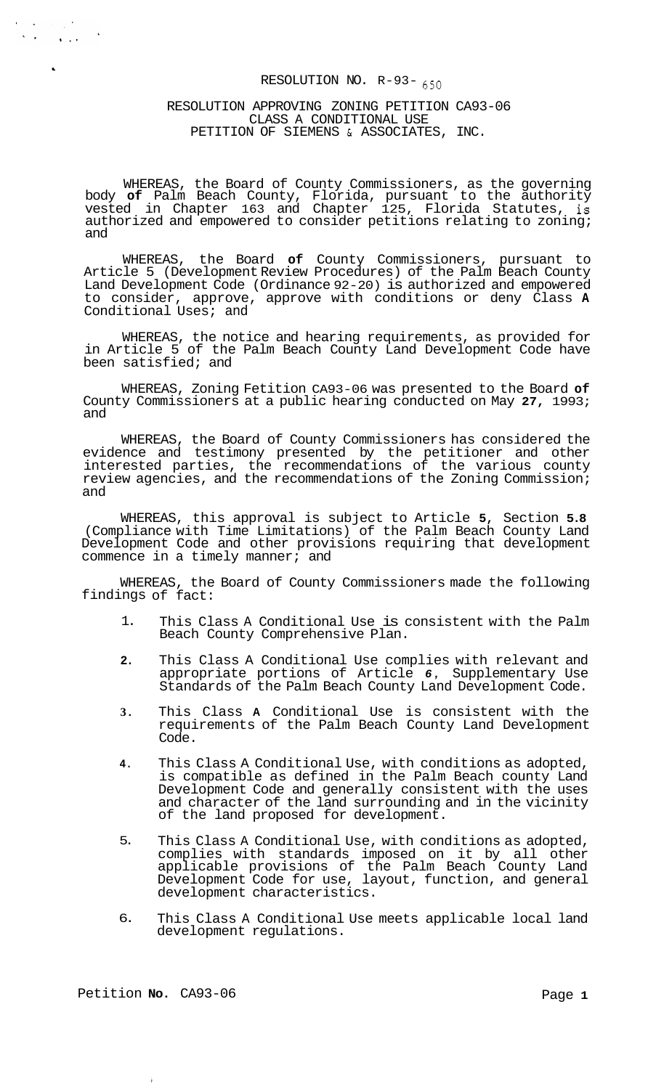### RESOLUTION NO.  $R-93-650$

### RESOLUTION APPROVING ZONING PETITION CA93-06 CLASS A CONDITIONAL USE PETITION OF SIEMENS & ASSOCIATES, INC.

WHEREAS, the Board of County Commissioners, as the governing body **of** Palm Beach County, Florida, pursuant to the authority vested in Chapter 163 and Chapter 125, Florida Statutes, is authorized and empowered to consider petitions relating to zoning; and

WHEREAS, the Board **of** County Commissioners, pursuant to Article 5 (Development Review Procedures) of the Palm Beach County Land Development Code (Ordinance 92-20) is authorized and empowered to consider, approve, approve with conditions or deny Class **A**  Conditional Uses; and

WHEREAS, the notice and hearing requirements, as provided for in Article 5 of the Palm Beach County Land Development Code have been satisfied; and

WHEREAS, Zoning Fetition CA93-06 was presented to the Board **of**  County Commissioners at a public hearing conducted on May **27,** 1993; and

WHEREAS, the Board of County Commissioners has considered the evidence and testimony presented by the petitioner and other interested parties, the recommendations of the various county review agencies, and the recommendations of the Zoning Commission; and

WHEREAS, this approval is subject to Article **5,** Section **5.8**  (Compliance with Time Limitations) of the Palm Beach County Land Development Code and other provisions requiring that development commence in a timely manner; and

WHEREAS, the Board of County Commissioners made the following findings of fact:

- 1. This Class A Conditional Use is consistent with the Palm Beach County Comprehensive Plan.
- **2.**  This Class A Conditional Use complies with relevant and appropriate portions of Article *6,* Supplementary Use Standards of the Palm Beach County Land Development Code.
- **3.**  This Class **A** Conditional Use is consistent with the requirements of the Palm Beach County Land Development Code.
- **4.**  This Class A Conditional Use, with conditions as adopted, is compatible as defined in the Palm Beach county Land Development Code and generally consistent with the uses and character of the land surrounding and in the vicinity of the land proposed for development.
- 5. This Class A Conditional Use, with conditions as adopted, complies with standards imposed on it by all other applicable provisions of the Palm Beach County Land Development Code for use, layout, function, and general development characteristics.
- 6. This Class A Conditional Use meets applicable local land development regulations.

 $\ddot{a}$ 

 $\mathcal{A}=\mathcal{A} \cup \mathcal{A}$  $\sim 40\,$  k  $\sim$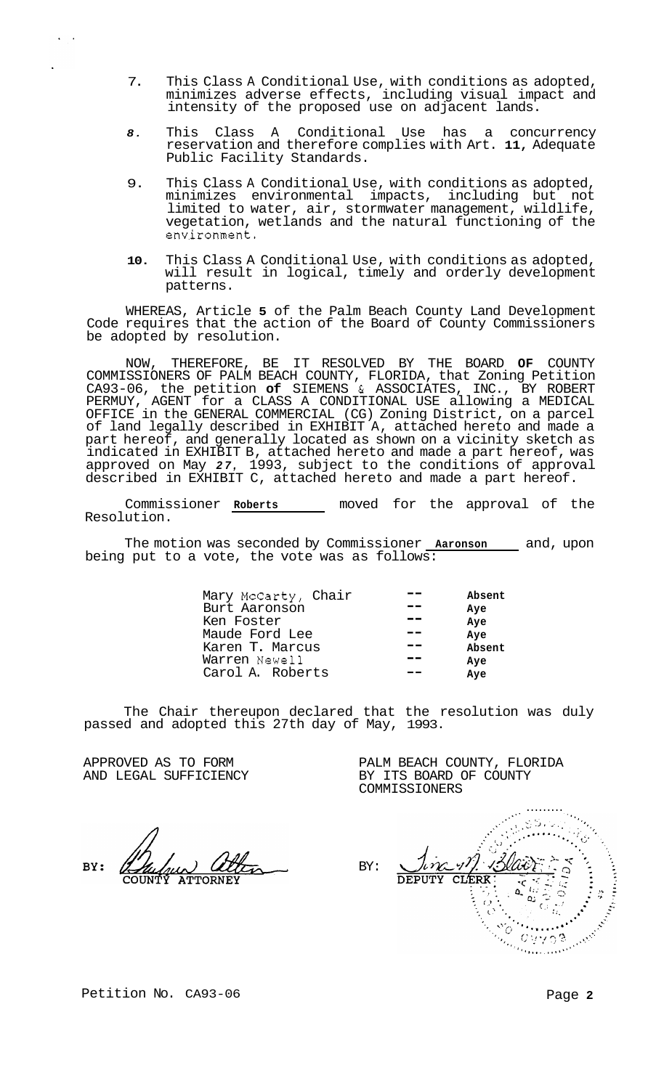- 7. This Class A Conditional Use, with conditions as adopted, minimizes adverse effects, including visual impact and intensity of the proposed use on adjacent lands.
- *8.* This Class A Conditional Use has a concurrency reservation and therefore complies with Art. **11,** Adequate Public Facility Standards.
- 9. This Class A Conditional Use, with conditions as adopted, minimizes environmental impacts, including but not limited to water, air, stormwater management, wildlife, vegetation, wetlands and the natural functioning of the environment.
- **10.** This Class A Conditional Use, with conditions as adopted, will result in logical, timely and orderly development patterns.

WHEREAS, Article **5** of the Palm Beach County Land Development Code requires that the action of the Board of County Commissioners be adopted by resolution.

NOW, THEREFORE, BE IT RESOLVED BY THE BOARD **OF** COUNTY COMMISSIONERS OF PALM BEACH COUNTY, FLORIDA, that Zoning Petition CA93-06, the petition **of** SIEMENS & ASSOCIATES, INC., BY ROBERT PERMUY, AGENT for a CLASS A CONDITIONAL USE allowing a MEDICAL OFFICE in the GENERAL COMMERCIAL (CG) Zoning District, on a parcel of land legally described in EXHIBIT A, attached hereto and made a part hereof, and generally located as shown on a vicinity sketch as indicated in EXHIBIT B, attached hereto and made a part hereof, was approved on May *27,* 1993, subject to the conditions of approval described in EXHIBIT C, attached hereto and made a part hereof.

Commissioner **Roberts** moved for the approval of the Resolution.

The motion was seconded by Commissioner **Aaronson** and, upon being put to a vote, the vote was as follows:

| Mary McCarty, Chair | Absent |
|---------------------|--------|
| Burt Aaronson       | Ave    |
| Ken Foster          | Aye    |
| Maude Ford Lee      | Ave    |
| Karen T. Marcus     | Absent |
| Warren Newell       | Ave    |
| Carol A. Roberts    | Ave    |

The Chair thereupon declared that the resolution was duly passed and adopted this 27th day of May, 1993.

APPROVED AS TO FORM AND LEGAL SUFFICIENCY

RV:

COMMISSIONERS ......... BY: hma **DEPUTY** CLERK ā.  $\frac{1}{2}$ Anderson Marian Ωú

 $\overline{O}$  $\frac{1}{2} \frac{Q}{\epsilon_{\alpha_{\mu_{\mu}}}}$ 

 $C \cup \cup \cap \mathfrak{B}$ 

PALM BEACH COUNTY, FLORIDA

BY ITS BOARD OF COUNTY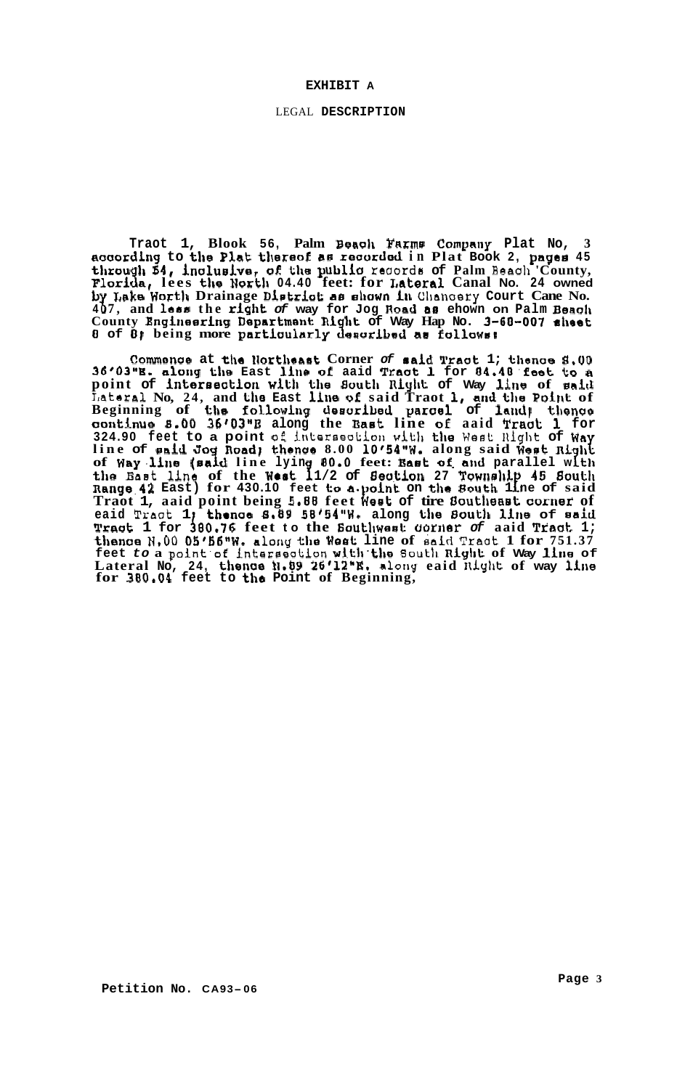### **EXHIBIT A**

LEGAL **DESCRIPTION** 

**Traot 1, Blook 56, Palm Benoh Farme Comyntiy Plat No, 3 naaording to the Plat thereof aa reaortlecl in Plat Book 2, payee <sup>45</sup>** through  $54$ , inclusive, of the public records of Palm Beach 'County, Florida, lees the North 04.40 feet: for Lateral Canal No. 24 owned<br>by Lake Worth Drainage District as shown in Chancery Court Cane No. by Lake Worth Drainage District as shown in Chancery Court Cane No.<br>407, and less the right of way for Jog Road as ehown on Palm Beach **County Engineering Department: ni ht of Way Hap No. 3-60-007 alreet**  *<sup>0</sup>***of** *01* **being more partiuularly 3 eeurlbsd a8 fol1uwsr** 

**Commence at the Northeast Corner of said Tract 1; thence 8.00 36'03I'K. alorrg the East litre of aaid Txaat: 1 for 04.40'feet to** *<sup>R</sup>* **point of intereeation with the Boutlr nLylll; of Way line of said Lataral No, 24, and the East hre of said Traot I, and the Point of Beginning of the following deeoribed parae1 of lakid} tlrenae aorrkinue 8.00 36'03"B along the BaeC line oL aaid Traot; 1 for 324.90 feet to a point of inkeraeotioll with the Week Ilight of Wn**  line of said Jog Road; thence 8.00 10'54"W. along said West Rig<br>of Way line (said line lying 80.0 feet: East of and parallel wi the Bast line of the West 11/2 of Section 27 Township 45 South **nange.42 East) for 430.10 feet to a.polnt on the South 1** P **ne of said Traot 1, aaid point being 5.88 feet Weat of tire Oouklreaet; comes of eaid Praot 1 thrnae 8.89 58'54"W. along the 80utl1 line of eaid Vraut 1 for iOO.76 feet to the 6oUthweet: uorrrer** *of* **aaid Traat. 1;**  thence N,00 05'56"W. along the West line of said Tract 1 for 751.37 **feet** *to* **a point'of interaeation with.the 6oukh niyhE of Way lhe of Lateral No, 24, theme tl.09 26'12"E. along eaid fliylkt of way line for 380.04 feet to the Point of Beginning,**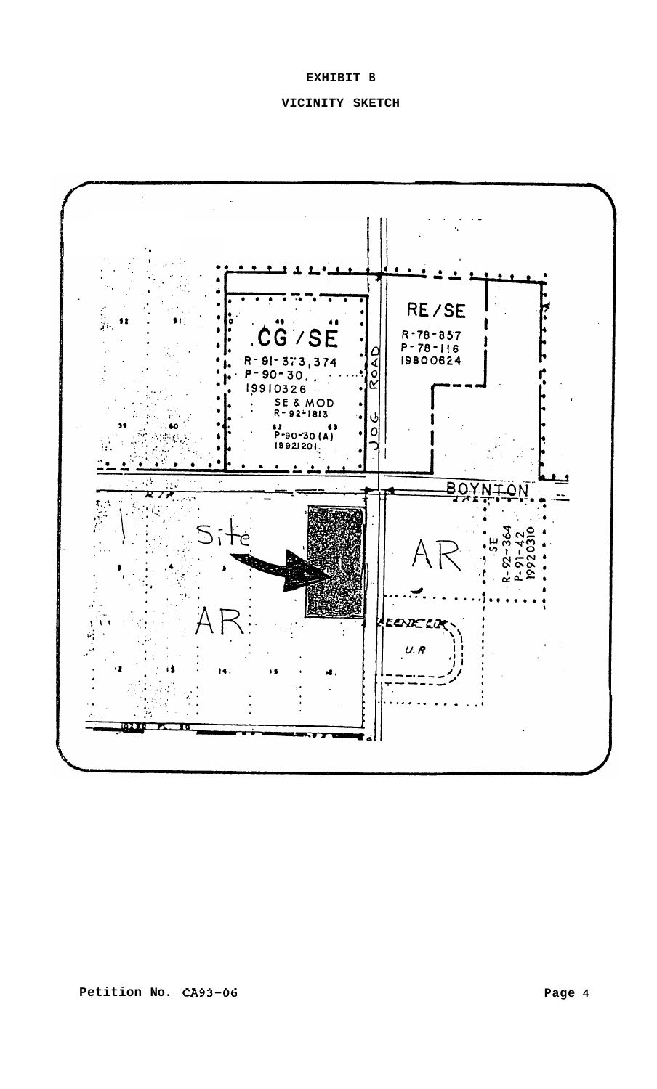# **EXHIBIT B**

# **VICINITY SKETCH**

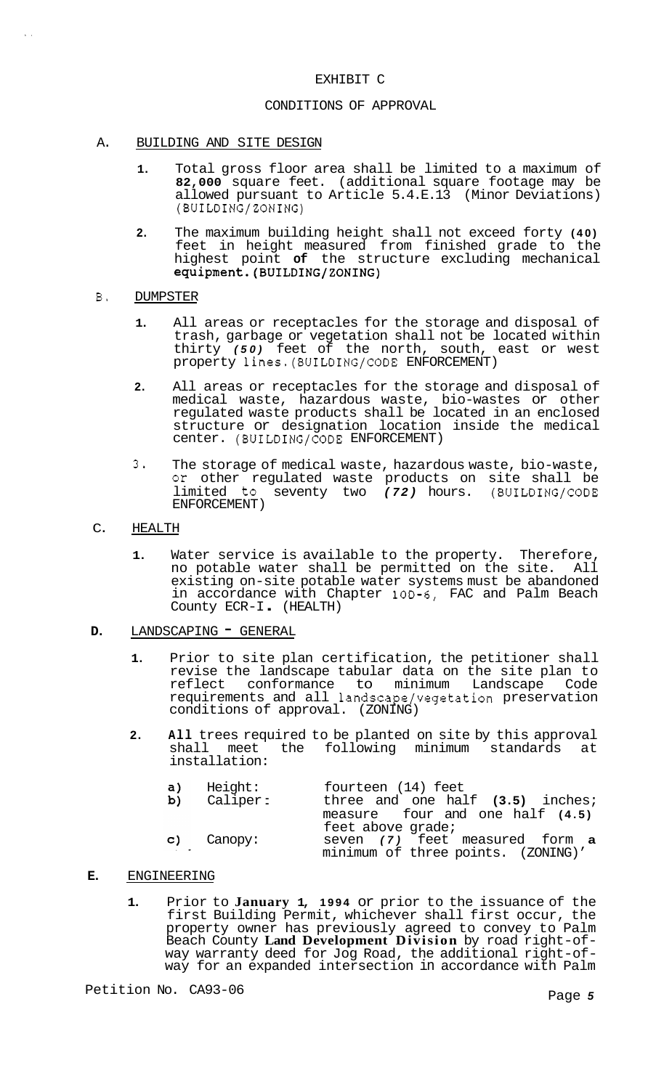# EXHIBIT C

### CONDITIONS OF APPROVAL

- A. BUILDING AND SITE DESIGN
	- **1.** Total gross floor area shall be limited to a maximum of **82,000** square feet. (additional square footage may be allowed pursuant to Article 5.4.E.13 (Minor Deviations) (BUILDING/ZONING)
	- **2.** The maximum building height shall not exceed forty **(40)**  feet in height measured from finished grade to the highest point **of** the structure excluding mechanical **equipment.(BUILDING/ZONING)**
- B. DUMPSTER

 $\mathbf{r}=\mathbf{r}$ 

- **1.** All areas or receptacles for the storage and disposal of trash, garbage or vegetation shall not be located within thirty *(50)* feet of the north, south, east or west property lines.(BUILDING/CODE ENFORCEMENT)
- **2.** All areas or receptacles for the storage and disposal of medical waste, hazardous waste, bio-wastes or other regulated waste products shall be located in an enclosed structure or designation location inside the medical center. (BUILDING/CODE ENFORCEMENT)
- 3. The storage of medical waste, hazardous waste, bio-waste, or other regulated waste products on site shall be limited to seventy two *(72)* hours. (BUILDING/CODE ENFORCEMENT)
- C. HEALTH
	- **1.** Water service is available to the property. Therefore, no potable water shall be permitted on the site. existing on-site potable water systems must be abandoned in accordance with Chapter 10D-6, FAC and Palm Beach County ECR-I . (HEALTH)
- **D.** LANDSCAPING **-** GENERAL
	- **1.** Prior to site plan certification, the petitioner shall revise the landscape tabular data on the site plan to conformance to minimum Landscape requirements and all landscape/vegetation preservation conditions of approval. (ZONING)
	- **2. All** trees required to be planted on site by this approval shall meet the following minimum standards at installation:

| a)                              | Height:                | fourteen (14) feet                                                   |
|---------------------------------|------------------------|----------------------------------------------------------------------|
|                                 | b) Caliper:            | three and one half (3.5) inches;                                     |
|                                 |                        | measure four and one half (4.5)<br>feet above grade;                 |
| <b>Contract Contract Street</b> | $\mathsf{c}$ ) Canopy: | seven (7) feet measured form a<br>minimum of three points. (ZONING)' |

- **E.** ENGINEERING
	- **1.** Prior to **January 1, 1994** or prior to the issuance of the first Building Permit, whichever shall first occur, the property owner has previously agreed to convey to Palm Beach County **Land Development Division** by road right-of- way warranty deed for Jog Road, the additional right-of- way for an expanded intersection in accordance with Palm

Petition No. CA93-06 **Page 5** Page 5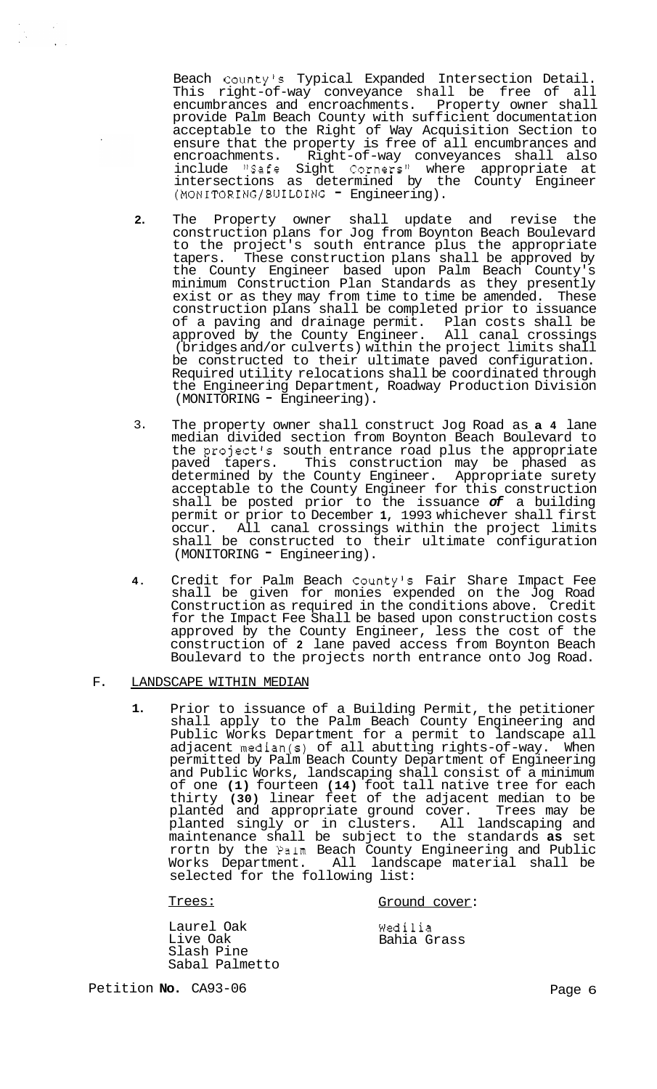Beach County's Typical Expanded Intersection Detail. This right-of-way conveyance shall be free of all encumbrances and encroachments. Property owner shall provide Palm Beach County with sufficient documentation acceptable to the Right of Way Acquisition Section to ensure that the property is free of all encumbrances and encroachments. Right-of-way conveyances shall also include "Safe Sight Corners" where appropriate at intersections as determined by the County Engineer (MONITORING/BUILDING - Engineering).

- **2.**  The Property owner shall update and revise the construction plans for Jog from Boynton Beach Boulevard to the project's south entrance plus the appropriate tapers. These construction plans shall be approved by the County Engineer based upon Palm Beach County's minimum Construction Plan Standards as they presently exist or as they may from time to time be amended. These construction plans shall be completed prior to issuance of a paving and drainage permit. Plan costs shall be approved by the County Engineer. All canal crossings (bridges and/or culverts) within the project limits shall be constructed to their ultimate paved configuration. Required utility relocations shall be coordinated through the Engineering Department, Roadway Production Division (MONITORING - Engineering).
- 3. The property owner shall construct Jog Road as **a 4** lane median divided section from Boynton Beach Boulevard to the project's south entrance road plus the appropriate paved tapers. This construction may be phased as determined by the County Engineer. Appropriate surety acceptable to the County Engineer for this construction shall be posted prior to the issuance *of* a building permit or prior to December **1,** 1993 whichever shall first occur. All canal crossings within the project limits shall be constructed to their ultimate configuration (MONITORING - Engineering).
- **4.** Credit for Palm Beach County's Fair Share Impact Fee shall be given for monies expended on the Jog Road Construction as required in the conditions above. Credit for the Impact Fee Shall be based upon construction costs approved by the County Engineer, less the cost of the construction of **2** lane paved access from Boynton Beach Boulevard to the projects north entrance onto Jog Road.

### F. LANDSCAPE WITHIN MEDIAN

**1.** Prior to issuance of a Building Permit, the petitioner shall apply to the Palm Beach County Engineering and Public Works Department for a permit to landscape all adjacent median(s) of all abutting rights-of-way. When permitted by Palm Beach County Department of Engineering and Public Works, landscaping shall consist of a minimum of one **(1)** fourteen **(14)** foot tall native tree for each thirty **(30)** linear feet of the adjacent median to be planted and appropriate ground cover. Trees may be planted singly or in clusters. All landscaping and maintenance shall be subject to the standards **as** set rortn by the Palm Beach County Engineering and Public Works Department. All landscape material shall be selected for the following list:

Trees: Ground cover:

Laurel Oak Live Oak Slash Pine Sabal Palmetto Wedilia Bahia Grass

Petition **No.** CA93-06 **Page 6** Page 6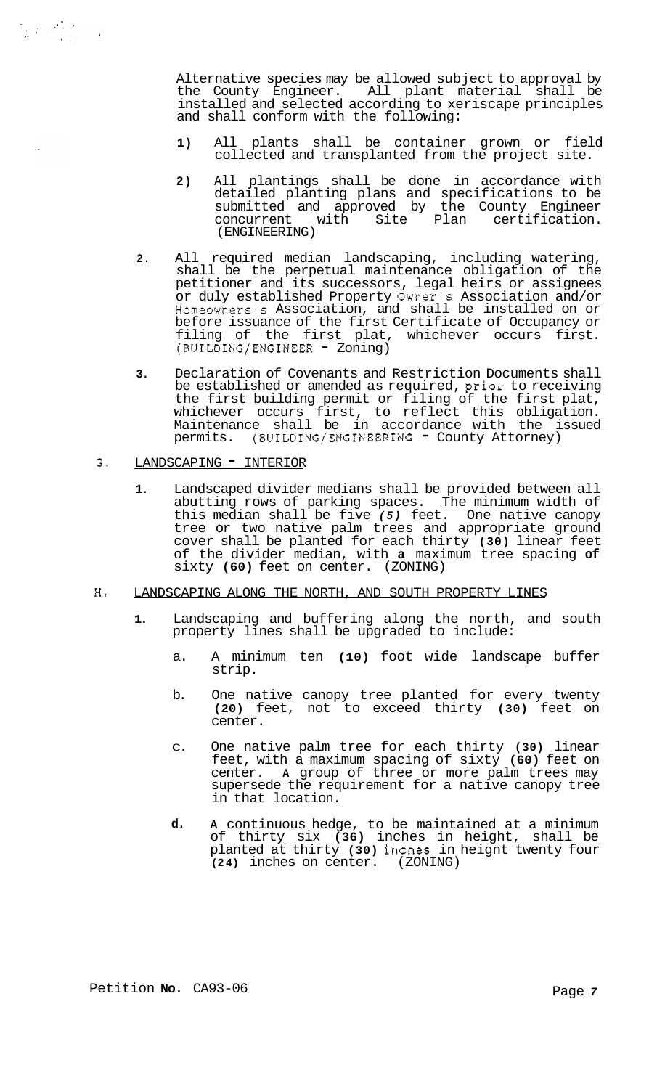Alternative species may be allowed subject to approval by the County Engineer. All plant material shall be installed and selected according to xeriscape principles and shall conform with the following:

- **1)** All plants shall be container grown or field collected and transplanted from the project site.
- **2)** All plantings shall be done in accordance with detailed planting plans and specifications to be submitted and approved by the County Engineer concurrent with Site Plan certification. (ENGINEERING)
- **2.** All required median landscaping, including watering, shall be the perpetual maintenance obligation of the petitioner and its successors, legal heirs or assignees or duly established Property Owner's Association and/or Homeowners's Association, and shall be installed on or before issuance of the first Certificate of Occupancy or filing of the first plat, whichever occurs first. (BUILDING/ENGINEER - Zoning)
- **3.** Declaration of Covenants and Restriction Documents shall be established or amended as required,  $prior$  to receiving the first building permit or filing of the first plat, whichever occurs first, to reflect this obligation. Maintenance shall be in accordance with the issued permits. (BUILDING/ENGINEERING - County Attorney)

## G. LANDSCAPING - INTERIOR

**1.** Landscaped divider medians shall be provided between all abutting rows of parking spaces. The minimum width of this median shall be five *(5)* feet. One native canopy tree or two native palm trees and appropriate ground cover shall be planted for each thirty **(30)** linear feet of the divider median, with **a** maximum tree spacing **of**  sixty **(60)** feet on center. (ZONING)

## **H.** LANDSCAPING ALONG THE NORTH, AND SOUTH PROPERTY LINES

- **1.** Landscaping and buffering along the north, and south property lines shall be upgraded to include:
	- a. A minimum ten **(10)** foot wide landscape buffer strip.
	- b. One native canopy tree planted for every twenty **(20)** feet, not to exceed thirty **(30)** feet on center.
	- C. One native palm tree for each thirty **(30)** linear feet, with a maximum spacing of sixty **(60)** feet on center. **A** group of three or more palm trees may supersede the requirement for a native canopy tree in that location.
	- **d. A** continuous hedge, to be maintained at a minimum of thirty six **(36)** inches in height, shall be planted at thirty **(30)** irlcnes in heignt twenty four **(24)** inches on center. (ZONING)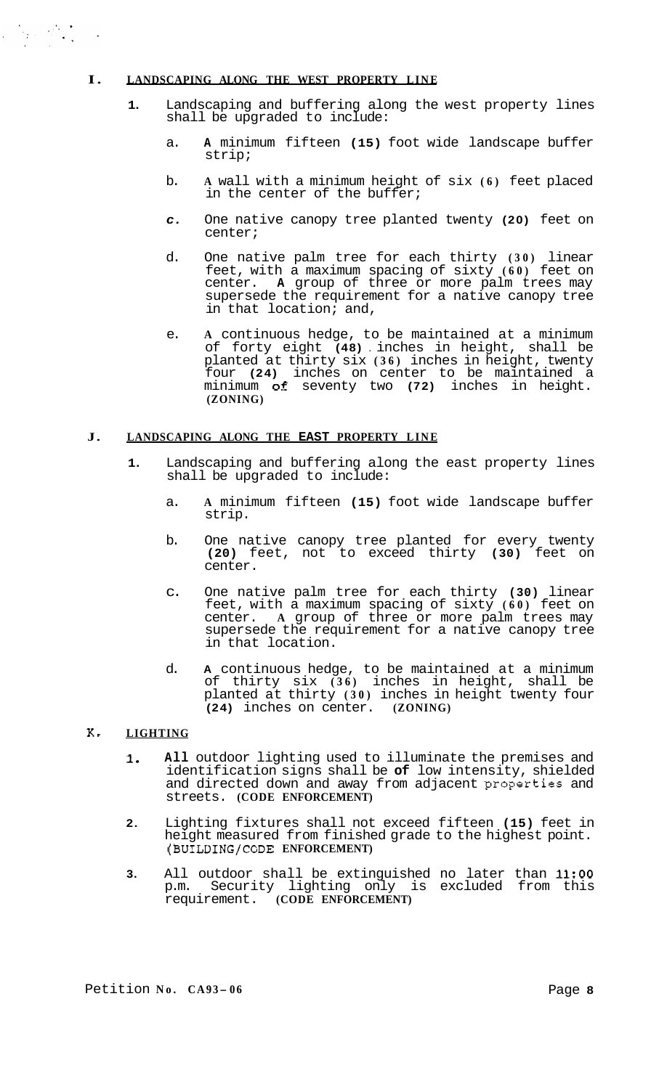# **I. LANDSCAPING ALONG THE WEST PROPERTY LINE**

 $\label{eq:2} \frac{1}{\sqrt{2\pi}}\int_{\mathbb{R}^3}\frac{1}{\sqrt{2\pi}}\left(\frac{1}{\sqrt{2\pi}}\right)^2\frac{1}{\sqrt{2\pi}}\frac{1}{\sqrt{2\pi}}\frac{1}{\sqrt{2\pi}}\frac{1}{\sqrt{2\pi}}\frac{1}{\sqrt{2\pi}}\frac{1}{\sqrt{2\pi}}\frac{1}{\sqrt{2\pi}}\frac{1}{\sqrt{2\pi}}\frac{1}{\sqrt{2\pi}}\frac{1}{\sqrt{2\pi}}\frac{1}{\sqrt{2\pi}}\frac{1}{\sqrt{2\pi}}\frac{1}{\sqrt{2\pi}}\frac{1$ 

- **1.** Landscaping and buffering along the west property lines shall be upgraded to include:
	- a. **A** minimum fifteen **(15)** foot wide landscape buffer strip;
	- b. **A** wall with a minimum height of six **(6)** feet placed in the center of the buffer;
	- *c.* One native canopy tree planted twenty **(20)** feet on center;
	- d. One native palm tree for each thirty **(30)** linear feet, with a maximum spacing of sixty **(60)** feet on center. **A** group of three or more palm trees may supersede the requirement for a native canopy tree in that location; and,
	- e. **A** continuous hedge, to be maintained at a minimum of forty eight **(48)** . inches in height, shall be planted at thirty six **(36)** inches in height, twenty four **(24)** inches on center to be maintained a minimum of seventy two **(72)** inches in height. **(ZONING)**

## **J. LANDSCAPING ALONG THE EAST PROPERTY LINE**

- **1.** Landscaping and buffering along the east property lines shall be upgraded to include:
	- a. **A** minimum fifteen **(15)** foot wide landscape buffer strip.
	- b. One native canopy tree planted for every twenty **(20)** feet, not to exceed thirty **(30)** feet on center.
	- c. One native palm tree for each thirty **(30)** linear feet, with a maximum spacing of sixty **(60)** feet on center. **A** group of three or more palm trees may supersede the requirement for a native canopy tree in that location.
	- d. **A** continuous hedge, to be maintained at a minimum of thirty six **(36)** inches in height, shall be planted at thirty **(30)** inches in height twenty four **(24)** inches on center. **(ZONING)**

# **K. LIGHTING**

- **1. All** outdoor lighting used to illuminate the premises and identification signs shall be **of** low intensity, shielded and directed down and away from adjacent properties and streets. **(CODE ENFORCEMENT)**
- **2.** Lighting fixtures shall not exceed fifteen **(15)** feet in height measured from finished grade to the highest point. **(BUILDING/CODE ENFORCEMENT)**
- **3.** All outdoor shall be extinguished no later than **11:OO**  p.m. Security lighting only is excluded from this requirement. **(CODE ENFORCEMENT)**